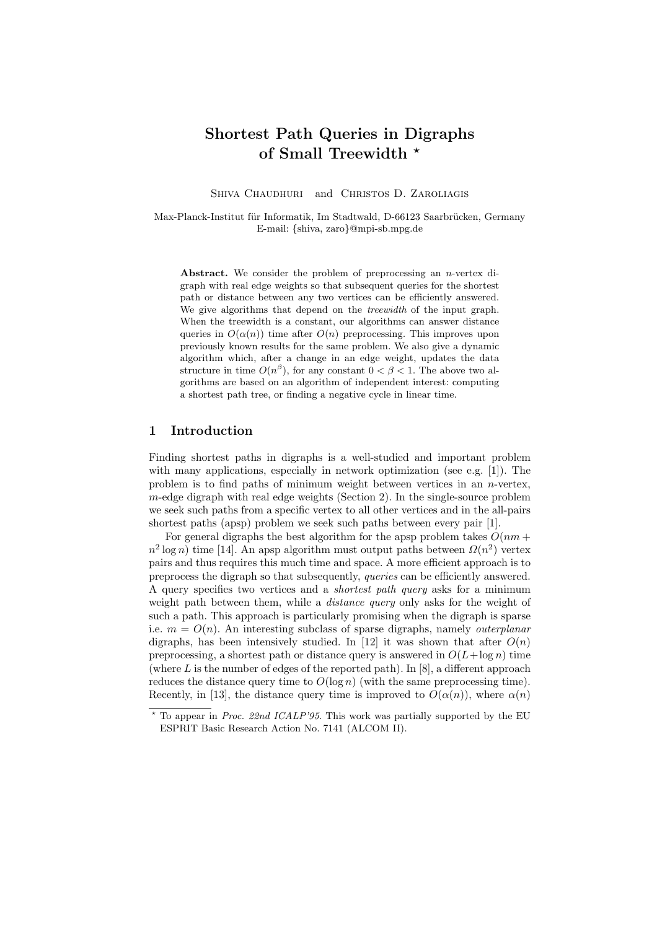# Shortest Path Queries in Digraphs of Small Treewidth \*

SHIVA CHAUDHURI and CHRISTOS D. ZAROLIAGIS

Max-Planck-Institut für Informatik, Im Stadtwald, D-66123 Saarbrücken, Germany E-mail: {shiva, zaro}@mpi-sb.mpg.de

Abstract. We consider the problem of preprocessing an n-vertex digraph with real edge weights so that subsequent queries for the shortest path or distance between any two vertices can be efficiently answered. We give algorithms that depend on the *treewidth* of the input graph. When the treewidth is a constant, our algorithms can answer distance queries in  $O(\alpha(n))$  time after  $O(n)$  preprocessing. This improves upon previously known results for the same problem. We also give a dynamic algorithm which, after a change in an edge weight, updates the data structure in time  $O(n^{\beta})$ , for any constant  $0 < \beta < 1$ . The above two algorithms are based on an algorithm of independent interest: computing a shortest path tree, or finding a negative cycle in linear time.

# 1 Introduction

Finding shortest paths in digraphs is a well-studied and important problem with many applications, especially in network optimization (see e.g.  $[1]$ ). The problem is to find paths of minimum weight between vertices in an  $n$ -vertex, m-edge digraph with real edge weights (Section 2). In the single-source problem we seek such paths from a specific vertex to all other vertices and in the all-pairs shortest paths (apsp) problem we seek such paths between every pair [1].

For general digraphs the best algorithm for the apsp problem takes  $O(nm +$  $n^2 \log n$ ) time [14]. An apsp algorithm must output paths between  $\Omega(n^2)$  vertex pairs and thus requires this much time and space. A more efficient approach is to preprocess the digraph so that subsequently, queries can be efficiently answered. A query specifies two vertices and a shortest path query asks for a minimum weight path between them, while a *distance query* only asks for the weight of such a path. This approach is particularly promising when the digraph is sparse i.e.  $m = O(n)$ . An interesting subclass of sparse digraphs, namely *outerplanar* digraphs, has been intensively studied. In [12] it was shown that after  $O(n)$ preprocessing, a shortest path or distance query is answered in  $O(L + \log n)$  time (where  $L$  is the number of edges of the reported path). In [8], a different approach reduces the distance query time to  $O(\log n)$  (with the same preprocessing time). Recently, in [13], the distance query time is improved to  $O(\alpha(n))$ , where  $\alpha(n)$ 

 $*$  To appear in *Proc. 22nd ICALP'95*. This work was partially supported by the EU ESPRIT Basic Research Action No. 7141 (ALCOM II).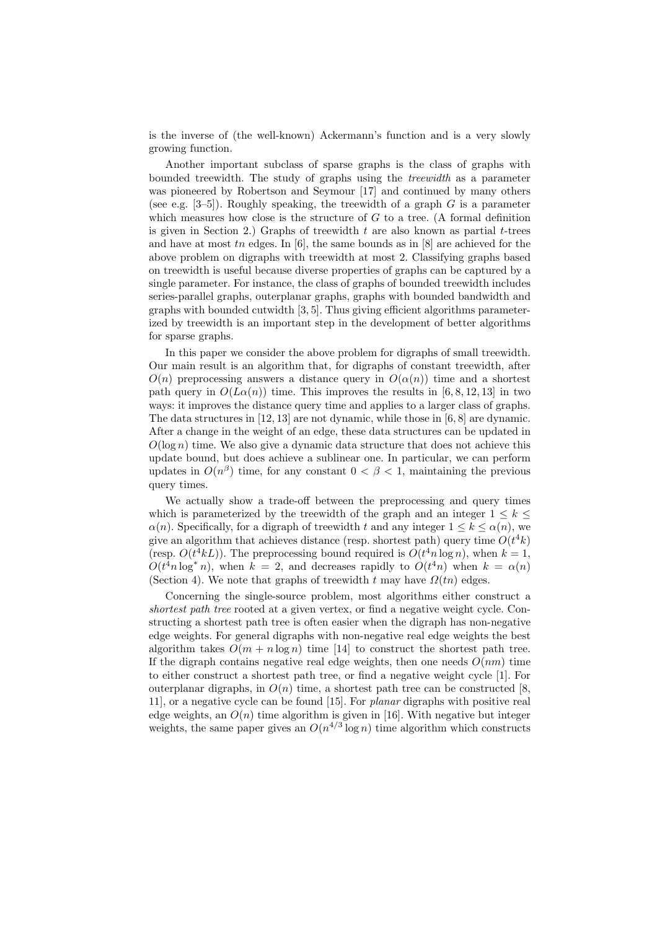is the inverse of (the well-known) Ackermann's function and is a very slowly growing function.

Another important subclass of sparse graphs is the class of graphs with bounded treewidth. The study of graphs using the treewidth as a parameter was pioneered by Robertson and Seymour [17] and continued by many others (see e.g. [3–5]). Roughly speaking, the treewidth of a graph  $G$  is a parameter which measures how close is the structure of  $G$  to a tree. (A formal definition is given in Section 2.) Graphs of treewidth  $t$  are also known as partial  $t$ -trees and have at most tn edges. In  $[6]$ , the same bounds as in  $[8]$  are achieved for the above problem on digraphs with treewidth at most 2. Classifying graphs based on treewidth is useful because diverse properties of graphs can be captured by a single parameter. For instance, the class of graphs of bounded treewidth includes series-parallel graphs, outerplanar graphs, graphs with bounded bandwidth and graphs with bounded cutwidth [3, 5]. Thus giving efficient algorithms parameterized by treewidth is an important step in the development of better algorithms for sparse graphs.

In this paper we consider the above problem for digraphs of small treewidth. Our main result is an algorithm that, for digraphs of constant treewidth, after  $O(n)$  preprocessing answers a distance query in  $O(\alpha(n))$  time and a shortest path query in  $O(L\alpha(n))$  time. This improves the results in [6, 8, 12, 13] in two ways: it improves the distance query time and applies to a larger class of graphs. The data structures in [12, 13] are not dynamic, while those in [6, 8] are dynamic. After a change in the weight of an edge, these data structures can be updated in  $O(\log n)$  time. We also give a dynamic data structure that does not achieve this update bound, but does achieve a sublinear one. In particular, we can perform updates in  $O(n^{\beta})$  time, for any constant  $0 < \beta < 1$ , maintaining the previous query times.

We actually show a trade-off between the preprocessing and query times which is parameterized by the treewidth of the graph and an integer  $1 \leq k \leq$  $\alpha(n)$ . Specifically, for a digraph of treewidth t and any integer  $1 \leq k \leq \alpha(n)$ , we give an algorithm that achieves distance (resp. shortest path) query time  $O(t^4k)$ (resp.  $O(t^4kL)$ ). The preprocessing bound required is  $O(t^4n \log n)$ , when  $k = 1$ ,  $O(t^4 n \log^* n)$ , when  $k = 2$ , and decreases rapidly to  $O(t^4 n)$  when  $k = \alpha(n)$ (Section 4). We note that graphs of treewidth t may have  $\Omega(tn)$  edges.

Concerning the single-source problem, most algorithms either construct a shortest path tree rooted at a given vertex, or find a negative weight cycle. Constructing a shortest path tree is often easier when the digraph has non-negative edge weights. For general digraphs with non-negative real edge weights the best algorithm takes  $O(m + n \log n)$  time [14] to construct the shortest path tree. If the digraph contains negative real edge weights, then one needs  $O(nm)$  time to either construct a shortest path tree, or find a negative weight cycle [1]. For outerplanar digraphs, in  $O(n)$  time, a shortest path tree can be constructed [8, 11], or a negative cycle can be found [15]. For planar digraphs with positive real edge weights, an  $O(n)$  time algorithm is given in [16]. With negative but integer weights, the same paper gives an  $O(n^{4/3} \log n)$  time algorithm which constructs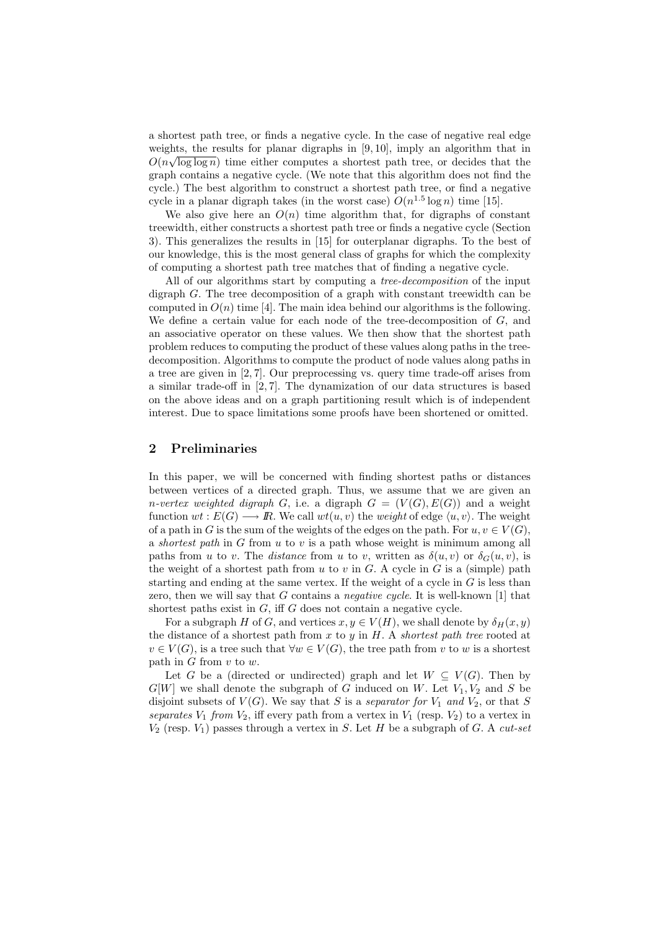a shortest path tree, or finds a negative cycle. In the case of negative real edge weights, the results for planar digraphs in  $[9, 10]$ , imply an algorithm that in  $O(n\sqrt{\log \log n})$  time either computes a shortest path tree, or decides that the graph contains a negative cycle. (We note that this algorithm does not find the cycle.) The best algorithm to construct a shortest path tree, or find a negative cycle in a planar digraph takes (in the worst case)  $O(n^{1.5} \log n)$  time [15].

We also give here an  $O(n)$  time algorithm that, for digraphs of constant treewidth, either constructs a shortest path tree or finds a negative cycle (Section 3). This generalizes the results in [15] for outerplanar digraphs. To the best of our knowledge, this is the most general class of graphs for which the complexity of computing a shortest path tree matches that of finding a negative cycle.

All of our algorithms start by computing a *tree-decomposition* of the input digraph G. The tree decomposition of a graph with constant treewidth can be computed in  $O(n)$  time [4]. The main idea behind our algorithms is the following. We define a certain value for each node of the tree-decomposition of  $G$ , and an associative operator on these values. We then show that the shortest path problem reduces to computing the product of these values along paths in the treedecomposition. Algorithms to compute the product of node values along paths in a tree are given in [2, 7]. Our preprocessing vs. query time trade-off arises from a similar trade-off in [2, 7]. The dynamization of our data structures is based on the above ideas and on a graph partitioning result which is of independent interest. Due to space limitations some proofs have been shortened or omitted.

### 2 Preliminaries

In this paper, we will be concerned with finding shortest paths or distances between vertices of a directed graph. Thus, we assume that we are given an *n-vertex weighted digraph* G, i.e. a digraph  $G = (V(G), E(G))$  and a weight function  $wt : E(G) \longrightarrow \mathbb{R}$ . We call  $wt(u, v)$  the weight of edge  $\langle u, v \rangle$ . The weight of a path in G is the sum of the weights of the edges on the path. For  $u, v \in V(G)$ , a shortest path in  $G$  from  $u$  to  $v$  is a path whose weight is minimum among all paths from u to v. The distance from u to v, written as  $\delta(u, v)$  or  $\delta_G(u, v)$ , is the weight of a shortest path from u to v in  $G$ . A cycle in  $G$  is a (simple) path starting and ending at the same vertex. If the weight of a cycle in  $G$  is less than zero, then we will say that  $G$  contains a *negative cycle*. It is well-known [1] that shortest paths exist in  $G$ , iff  $G$  does not contain a negative cycle.

For a subgraph H of G, and vertices  $x, y \in V(H)$ , we shall denote by  $\delta_H(x, y)$ the distance of a shortest path from  $x$  to  $y$  in  $H$ . A shortest path tree rooted at  $v \in V(G)$ , is a tree such that  $\forall w \in V(G)$ , the tree path from v to w is a shortest path in  $G$  from  $v$  to  $w$ .

Let G be a (directed or undirected) graph and let  $W \subseteq V(G)$ . Then by  $G[W]$  we shall denote the subgraph of G induced on W. Let  $V_1, V_2$  and S be disjoint subsets of  $V(G)$ . We say that S is a separator for  $V_1$  and  $V_2$ , or that S separates  $V_1$  from  $V_2$ , iff every path from a vertex in  $V_1$  (resp.  $V_2$ ) to a vertex in  $V_2$  (resp.  $V_1$ ) passes through a vertex in S. Let H be a subgraph of G. A cut-set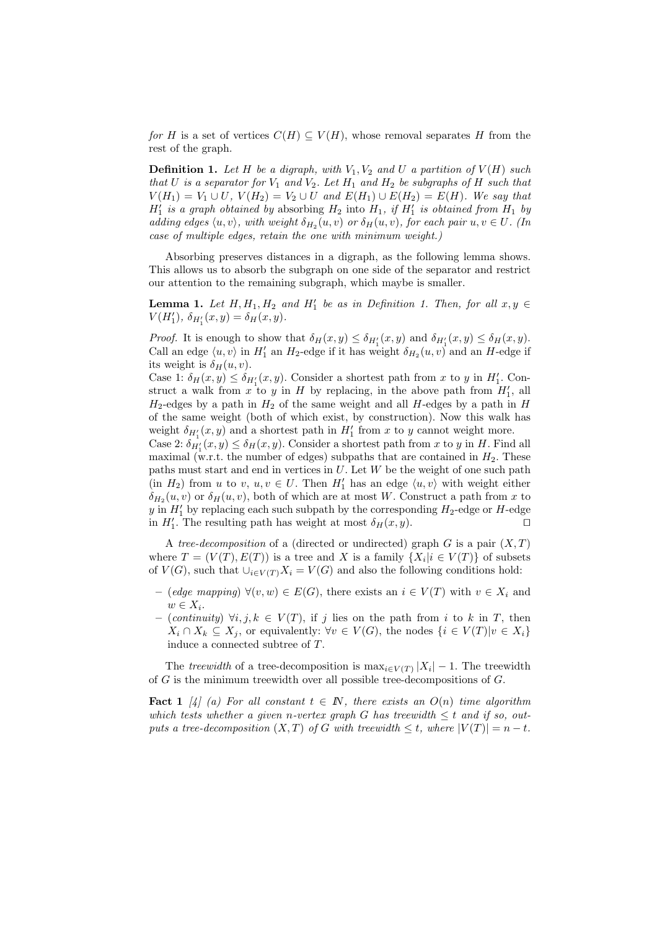for H is a set of vertices  $C(H) \subseteq V(H)$ , whose removal separates H from the rest of the graph.

**Definition 1.** Let H be a digraph, with  $V_1, V_2$  and U a partition of  $V(H)$  such that U is a separator for  $V_1$  and  $V_2$ . Let  $H_1$  and  $H_2$  be subgraphs of H such that  $V(H_1) = V_1 \cup U$ ,  $V(H_2) = V_2 \cup U$  and  $E(H_1) \cup E(H_2) = E(H)$ . We say that  $H_1'$  is a graph obtained by absorbing  $H_2$  into  $H_1$ , if  $H_1'$  is obtained from  $H_1$  by adding edges  $\langle u, v \rangle$ , with weight  $\delta_{H_2}(u, v)$  or  $\delta_H(u, v)$ , for each pair  $u, v \in U$ . (In case of multiple edges, retain the one with minimum weight.)

Absorbing preserves distances in a digraph, as the following lemma shows. This allows us to absorb the subgraph on one side of the separator and restrict our attention to the remaining subgraph, which maybe is smaller.

**Lemma 1.** Let  $H, H_1, H_2$  and  $H'_1$  be as in Definition 1. Then, for all  $x, y \in$  $V(H'_1), \, \delta_{H'_1}(x,y) = \delta_H(x,y).$ 

*Proof.* It is enough to show that  $\delta_H(x,y) \leq \delta_{H'_1}(x,y)$  and  $\delta_{H'_1}(x,y) \leq \delta_H(x,y)$ . Call an edge  $\langle u, v \rangle$  in  $H'_1$  an  $H_2$ -edge if it has weight  $\delta_{H_2}(u, v)$  and an H-edge if its weight is  $\delta_H(u, v)$ .

Case 1:  $\delta_H(x,y) \leq \delta_{H'_1}(x,y)$ . Consider a shortest path from x to y in  $H'_1$ . Construct a walk from  $x$  to  $y$  in  $H$  by replacing, in the above path from  $H'_1$ , all  $H_2$ -edges by a path in  $H_2$  of the same weight and all H-edges by a path in H of the same weight (both of which exist, by construction). Now this walk has weight  $\delta_{H'_1}(x,y)$  and a shortest path in  $H'_1$  from x to y cannot weight more.

Case 2:  $\delta_{H_1'}(x, y) \leq \delta_H(x, y)$ . Consider a shortest path from x to y in H. Find all maximal (w.r.t. the number of edges) subpaths that are contained in  $H_2$ . These paths must start and end in vertices in  $U$ . Let  $W$  be the weight of one such path  $(in H_2)$  from u to v,  $u, v \in U$ . Then  $H'_1$  has an edge  $\langle u, v \rangle$  with weight either  $\delta_{H_2}(u, v)$  or  $\delta_H(u, v)$ , both of which are at most W. Construct a path from x to y in  $H'_1$  by replacing each such subpath by the corresponding  $H_2$ -edge or H-edge in  $H'_1$ . The resulting path has weight at most  $\delta_H(x, y)$ .

A tree-decomposition of a (directed or undirected) graph G is a pair  $(X, T)$ where  $T = (V(T), E(T))$  is a tree and X is a family  $\{X_i | i \in V(T)\}\$  of subsets of  $V(G)$ , such that  $\bigcup_{i\in V(T)} X_i = V(G)$  and also the following conditions hold:

- (edge mapping)  $\forall (v, w) \in E(G)$ , there exists an  $i \in V(T)$  with  $v \in X_i$  and  $w \in X_i$ .
- (continuity)  $\forall i, j, k \in V(T)$ , if j lies on the path from i to k in T, then  $X_i \cap X_k \subseteq X_j$ , or equivalently:  $\forall v \in V(G)$ , the nodes  $\{i \in V(T)|v \in X_i\}$ induce a connected subtree of T.

The treewidth of a tree-decomposition is  $\max_{i \in V(T)} |X_i| - 1$ . The treewidth of  $G$  is the minimum treewidth over all possible tree-decompositions of  $G$ .

**Fact 1** [4] (a) For all constant  $t \in \mathbb{N}$ , there exists an  $O(n)$  time algorithm which tests whether a given n-vertex graph G has treewidth  $\leq t$  and if so, outputs a tree-decomposition  $(X, T)$  of G with treewidth  $\leq t$ , where  $|V(T)| = n - t$ .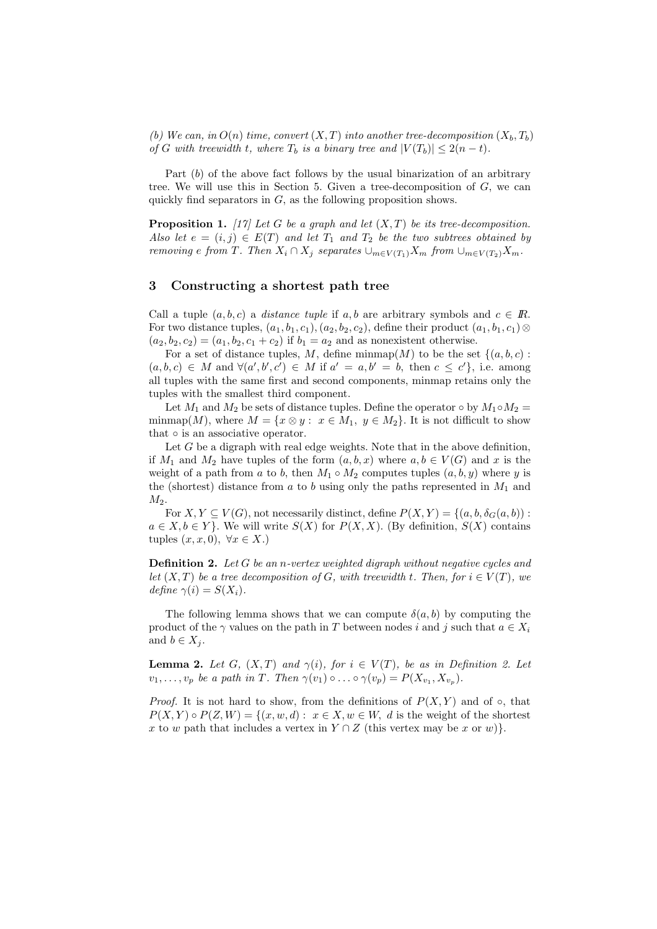(b) We can, in  $O(n)$  time, convert  $(X, T)$  into another tree-decomposition  $(X_b, T_b)$ of G with treewidth t, where  $T_b$  is a binary tree and  $|V(T_b)| \leq 2(n-t)$ .

Part (b) of the above fact follows by the usual binarization of an arbitrary tree. We will use this in Section 5. Given a tree-decomposition of  $G$ , we can quickly find separators in  $G$ , as the following proposition shows.

**Proposition 1.** [17] Let G be a graph and let  $(X, T)$  be its tree-decomposition. Also let  $e = (i, j) \in E(T)$  and let  $T_1$  and  $T_2$  be the two subtrees obtained by removing e from T. Then  $X_i \cap X_j$  separates  $\cup_{m \in V(T_1)} X_m$  from  $\cup_{m \in V(T_2)} X_m$ .

### 3 Constructing a shortest path tree

Call a tuple  $(a, b, c)$  a *distance tuple* if a, b are arbitrary symbols and  $c \in \mathbb{R}$ . For two distance tuples,  $(a_1, b_1, c_1), (a_2, b_2, c_2)$ , define their product  $(a_1, b_1, c_1) \otimes$  $(a_2, b_2, c_2) = (a_1, b_2, c_1 + c_2)$  if  $b_1 = a_2$  and as nonexistent otherwise.

For a set of distance tuples, M, define  $\min \{M\}$  to be the set  $\{(a, b, c)$ :  $(a, b, c) \in M$  and  $\forall (a', b', c') \in M$  if  $a' = a, b' = b$ , then  $c \leq c'$ , i.e. among all tuples with the same first and second components, minmap retains only the tuples with the smallest third component.

Let  $M_1$  and  $M_2$  be sets of distance tuples. Define the operator  $\circ$  by  $M_1 \circ M_2 =$ minmap(M), where  $M = \{x \otimes y : x \in M_1, y \in M_2\}$ . It is not difficult to show that  $\circ$  is an associative operator.

Let  $G$  be a digraph with real edge weights. Note that in the above definition, if  $M_1$  and  $M_2$  have tuples of the form  $(a, b, x)$  where  $a, b \in V(G)$  and x is the weight of a path from a to b, then  $M_1 \circ M_2$  computes tuples  $(a, b, y)$  where y is the (shortest) distance from a to b using only the paths represented in  $M_1$  and  $M<sub>2</sub>$ .

For  $X, Y \subseteq V(G)$ , not necessarily distinct, define  $P(X, Y) = \{(a, b, \delta_G(a, b))$ :  $a \in X, b \in Y$ . We will write  $S(X)$  for  $P(X, X)$ . (By definition,  $S(X)$  contains tuples  $(x, x, 0)$ ,  $\forall x \in X$ .)

**Definition 2.** Let G be an n-vertex weighted digraph without negative cycles and let  $(X, T)$  be a tree decomposition of G, with treewidth t. Then, for  $i \in V(T)$ , we define  $\gamma(i) = S(X_i)$ .

The following lemma shows that we can compute  $\delta(a, b)$  by computing the product of the  $\gamma$  values on the path in T between nodes i and j such that  $a \in X_i$ and  $b \in X_j$ .

**Lemma 2.** Let G,  $(X, T)$  and  $\gamma(i)$ , for  $i \in V(T)$ , be as in Definition 2. Let  $v_1, \ldots, v_p$  be a path in T. Then  $\gamma(v_1) \circ \ldots \circ \gamma(v_p) = P(X_{v_1}, X_{v_p}).$ 

*Proof.* It is not hard to show, from the definitions of  $P(X, Y)$  and of  $\circ$ , that  $P(X, Y) \circ P(Z, W) = \{(x, w, d) : x \in X, w \in W, d \text{ is the weight of the shortest }\}$ x to w path that includes a vertex in  $Y \cap Z$  (this vertex may be x or w).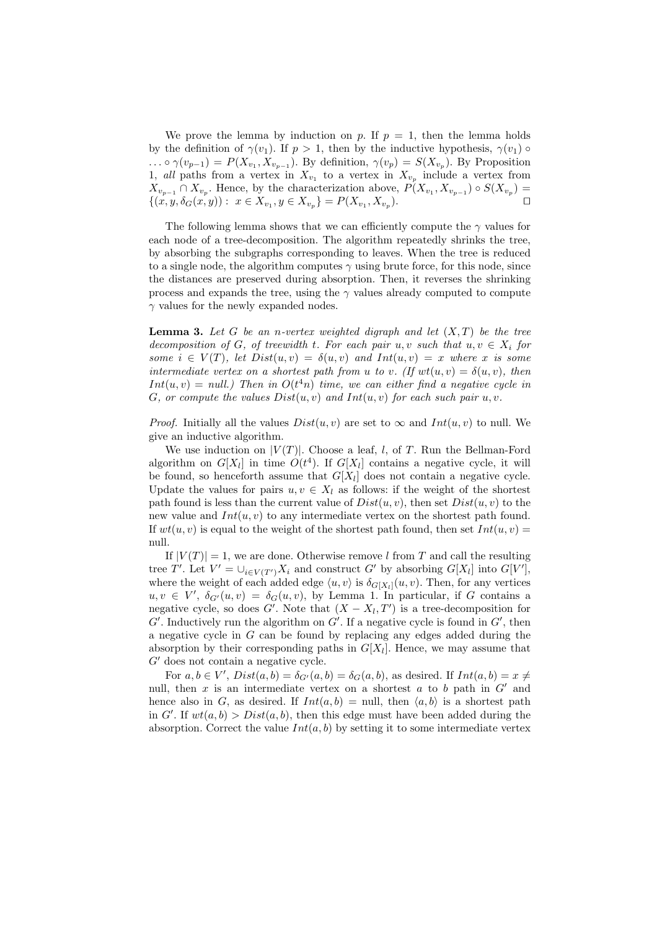We prove the lemma by induction on p. If  $p = 1$ , then the lemma holds by the definition of  $\gamma(v_1)$ . If  $p > 1$ , then by the inductive hypothesis,  $\gamma(v_1)$   $\circ$ ...  $\circ \gamma(v_{p-1}) = P(X_{v_1}, X_{v_{p-1}})$ . By definition,  $\gamma(v_p) = S(X_{v_p})$ . By Proposition 1, all paths from a vertex in  $X_{v_1}$  to a vertex in  $X_{v_p}$  include a vertex from  $X_{v_{p-1}} \cap X_{v_p}$ . Hence, by the characterization above,  $P(X_{v_1}, X_{v_{p-1}}) \circ S(X_{v_p}) =$  $\{(x, y, \delta_G(x, y)) : x \in X_{v_1}, y \in X_{v_p}\}=P(X_{v_1}, X_{v_p})$ ).  $\qquad \qquad \Box$ 

The following lemma shows that we can efficiently compute the  $\gamma$  values for each node of a tree-decomposition. The algorithm repeatedly shrinks the tree, by absorbing the subgraphs corresponding to leaves. When the tree is reduced to a single node, the algorithm computes  $\gamma$  using brute force, for this node, since the distances are preserved during absorption. Then, it reverses the shrinking process and expands the tree, using the  $\gamma$  values already computed to compute  $\gamma$  values for the newly expanded nodes.

**Lemma 3.** Let G be an n-vertex weighted digraph and let  $(X, T)$  be the tree decomposition of G, of treewidth t. For each pair u, v such that  $u, v \in X_i$  for some  $i \in V(T)$ , let  $Dist(u, v) = \delta(u, v)$  and  $Int(u, v) = x$  where x is some intermediate vertex on a shortest path from u to v. (If  $wt(u, v) = \delta(u, v)$ , then  $Int(u, v) = null$ .) Then in  $O(t<sup>4</sup>n)$  time, we can either find a negative cycle in G, or compute the values  $Dist(u, v)$  and  $Int(u, v)$  for each such pair  $u, v$ .

*Proof.* Initially all the values  $Dist(u, v)$  are set to  $\infty$  and  $Int(u, v)$  to null. We give an inductive algorithm.

We use induction on  $|V(T)|$ . Choose a leaf, l, of T. Run the Bellman-Ford algorithm on  $G[X_l]$  in time  $O(t^4)$ . If  $G[X_l]$  contains a negative cycle, it will be found, so henceforth assume that  $G[X_l]$  does not contain a negative cycle. Update the values for pairs  $u, v \in X_l$  as follows: if the weight of the shortest path found is less than the current value of  $Dist(u, v)$ , then set  $Dist(u, v)$  to the new value and  $Int(u, v)$  to any intermediate vertex on the shortest path found. If  $wt(u, v)$  is equal to the weight of the shortest path found, then set  $Int(u, v)$  = null.

If  $|V(T)| = 1$ , we are done. Otherwise remove l from T and call the resulting tree T'. Let  $V' = \bigcup_{i \in V(T')} X_i$  and construct G' by absorbing  $G[X_l]$  into  $G[V']$ , where the weight of each added edge  $\langle u, v \rangle$  is  $\delta_{G[X_l]}(u, v)$ . Then, for any vertices  $u, v \in V'$ ,  $\delta_{G'}(u, v) = \delta_{G}(u, v)$ , by Lemma 1. In particular, if G contains a negative cycle, so does  $G'$ . Note that  $(X - X_l, T')$  is a tree-decomposition for  $G'$ . Inductively run the algorithm on  $G'$ . If a negative cycle is found in  $G'$ , then a negative cycle in  $G$  can be found by replacing any edges added during the absorption by their corresponding paths in  $G[X_l]$ . Hence, we may assume that  $G'$  does not contain a negative cycle.

For  $a, b \in V'$ ,  $Dist(a, b) = \delta_{G'}(a, b) = \delta_G(a, b)$ , as desired. If  $Int(a, b) = x \neq 0$ null, then x is an intermediate vertex on a shortest  $a$  to  $b$  path in  $G'$  and hence also in G, as desired. If  $Int(a, b) = \text{null}$ , then  $\langle a, b \rangle$  is a shortest path in G'. If  $wt(a, b) > Dist(a, b)$ , then this edge must have been added during the absorption. Correct the value  $Int(a, b)$  by setting it to some intermediate vertex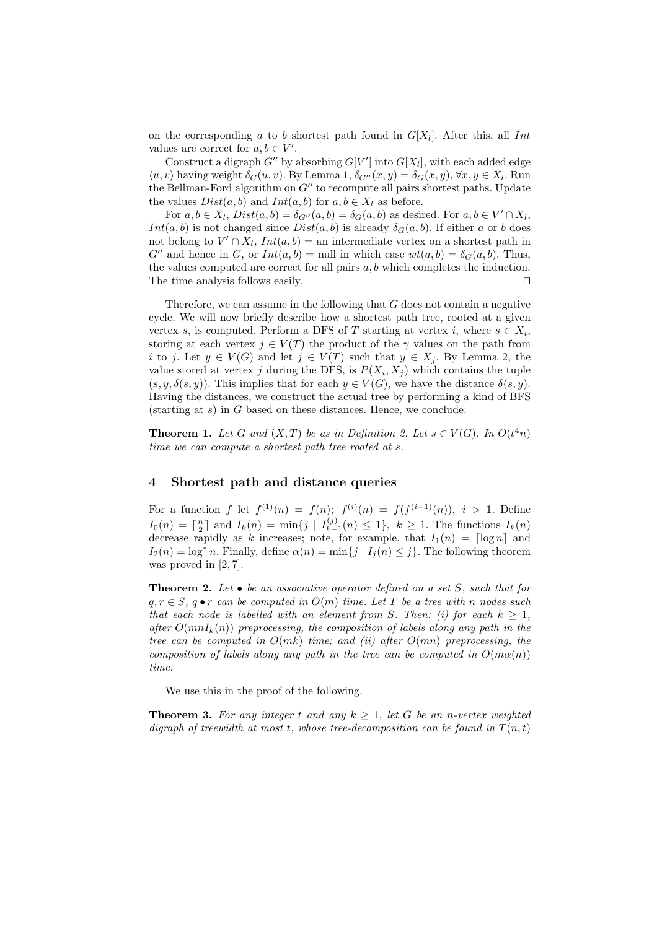on the corresponding a to b shortest path found in  $G[X_l]$ . After this, all Int values are correct for  $a, b \in V'$ .

Construct a digraph  $G''$  by absorbing  $G[V']$  into  $G[X_l]$ , with each added edge  $\langle u, v \rangle$  having weight  $\delta_G(u, v)$ . By Lemma 1,  $\delta_{G''}(x, y) = \delta_G(x, y), \forall x, y \in X_l$ . Run the Bellman-Ford algorithm on  $G''$  to recompute all pairs shortest paths. Update the values  $Dist(a, b)$  and  $Int(a, b)$  for  $a, b \in X_l$  as before.

For  $a, b \in X_l$ ,  $Dist(a, b) = \delta_{G''}(a, b) = \delta_G(a, b)$  as desired. For  $a, b \in V' \cap X_l$ , Int(a, b) is not changed since  $Dist(a, b)$  is already  $\delta_G(a, b)$ . If either a or b does not belong to  $V' \cap X_l$ ,  $Int(a, b) =$  an intermediate vertex on a shortest path in  $G''$  and hence in G, or  $Int(a, b) = \text{null}$  in which case  $wt(a, b) = \delta_G(a, b)$ . Thus, the values computed are correct for all pairs  $a, b$  which completes the induction. The time analysis follows easily.  $\Box$ 

Therefore, we can assume in the following that G does not contain a negative cycle. We will now briefly describe how a shortest path tree, rooted at a given vertex s, is computed. Perform a DFS of T starting at vertex i, where  $s \in X_i$ , storing at each vertex  $j \in V(T)$  the product of the  $\gamma$  values on the path from i to j. Let  $y \in V(G)$  and let  $j \in V(T)$  such that  $y \in X_i$ . By Lemma 2, the value stored at vertex j during the DFS, is  $P(X_i, X_j)$  which contains the tuple  $(s, y, \delta(s, y))$ . This implies that for each  $y \in V(G)$ , we have the distance  $\delta(s, y)$ . Having the distances, we construct the actual tree by performing a kind of BFS  $(\text{starting at } s)$  in G based on these distances. Hence, we conclude:

**Theorem 1.** Let G and  $(X, T)$  be as in Definition 2. Let  $s \in V(G)$ . In  $O(t<sup>4</sup>n)$ time we can compute a shortest path tree rooted at s.

#### 4 Shortest path and distance queries

For a function f let  $f^{(1)}(n) = f(n);$   $f^{(i)}(n) = f(f^{(i-1)}(n)),$   $i > 1$ . Define  $I_0(n) = \lceil \frac{n}{2} \rceil$  and  $I_k(n) = \min\{j \mid I_{k-1}^{(j)}\}$  $\{k-1}(n) \leq 1\},\; k \geq 1.$  The functions  $I_k(n)$ decrease rapidly as k increases; note, for example, that  $I_1(n) = \lceil \log n \rceil$  and  $I_2(n) = \log^* n$ . Finally, define  $\alpha(n) = \min\{j \mid I_j(n) \leq j\}$ . The following theorem was proved in [2, 7].

**Theorem 2.** Let  $\bullet$  be an associative operator defined on a set S, such that for  $q, r \in S$ ,  $q \bullet r$  can be computed in  $O(m)$  time. Let T be a tree with n nodes such that each node is labelled with an element from S. Then: (i) for each  $k > 1$ , after  $O(mnI_k(n))$  preprocessing, the composition of labels along any path in the tree can be computed in  $O(mk)$  time; and (ii) after  $O(mn)$  preprocessing, the composition of labels along any path in the tree can be computed in  $O(m\alpha(n))$ time.

We use this in the proof of the following.

**Theorem 3.** For any integer t and any  $k > 1$ , let G be an n-vertex weighted digraph of treewidth at most t, whose tree-decomposition can be found in  $T(n,t)$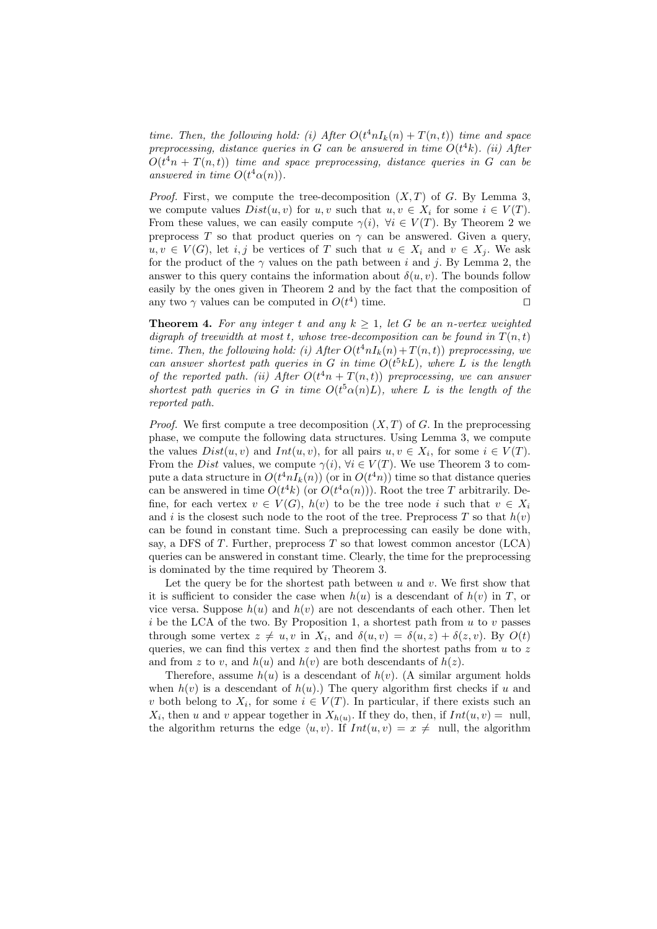time. Then, the following hold: (i) After  $O(t^4 n I_k(n) + T(n,t))$  time and space preprocessing, distance queries in G can be answered in time  $O(t^4k)$ . (ii) After  $O(t<sup>4</sup>n + T(n,t))$  time and space preprocessing, distance queries in G can be answered in time  $O(t^4\alpha(n))$ .

*Proof.* First, we compute the tree-decomposition  $(X, T)$  of G. By Lemma 3, we compute values  $Dist(u, v)$  for u, v such that  $u, v \in X_i$  for some  $i \in V(T)$ . From these values, we can easily compute  $\gamma(i)$ ,  $\forall i \in V(T)$ . By Theorem 2 we preprocess T so that product queries on  $\gamma$  can be answered. Given a query,  $u, v \in V(G)$ , let i, j be vertices of T such that  $u \in X_i$  and  $v \in X_i$ . We ask for the product of the  $\gamma$  values on the path between i and j. By Lemma 2, the answer to this query contains the information about  $\delta(u, v)$ . The bounds follow easily by the ones given in Theorem 2 and by the fact that the composition of any two  $\gamma$  values can be computed in  $O(t^4)$  time.

**Theorem 4.** For any integer t and any  $k \geq 1$ , let G be an n-vertex weighted digraph of treewidth at most t, whose tree-decomposition can be found in  $T(n,t)$ time. Then, the following hold: (i) After  $O(t^4 n I_k(n) + T(n, t))$  preprocessing, we can answer shortest path queries in G in time  $O(t^5kL)$ , where L is the length of the reported path. (ii) After  $O(t^{4}n + T(n,t))$  preprocessing, we can answer shortest path queries in G in time  $O(t^5\alpha(n)L)$ , where L is the length of the reported path.

*Proof.* We first compute a tree decomposition  $(X, T)$  of G. In the preprocessing phase, we compute the following data structures. Using Lemma 3, we compute the values  $Dist(u, v)$  and  $Int(u, v)$ , for all pairs  $u, v \in X_i$ , for some  $i \in V(T)$ . From the Dist values, we compute  $\gamma(i)$ ,  $\forall i \in V(T)$ . We use Theorem 3 to compute a data structure in  $O(t^4 n I_k(n))$  (or in  $O(t^4 n)$ ) time so that distance queries can be answered in time  $O(t^4k)$  (or  $O(t^4\alpha(n))$ ). Root the tree T arbitrarily. Define, for each vertex  $v \in V(G)$ ,  $h(v)$  to be the tree node i such that  $v \in X_i$ and i is the closest such node to the root of the tree. Preprocess T so that  $h(v)$ can be found in constant time. Such a preprocessing can easily be done with, say, a DFS of  $T$ . Further, preprocess  $T$  so that lowest common ancestor (LCA) queries can be answered in constant time. Clearly, the time for the preprocessing is dominated by the time required by Theorem 3.

Let the query be for the shortest path between  $u$  and  $v$ . We first show that it is sufficient to consider the case when  $h(u)$  is a descendant of  $h(v)$  in T, or vice versa. Suppose  $h(u)$  and  $h(v)$  are not descendants of each other. Then let i be the LCA of the two. By Proposition 1, a shortest path from  $u$  to v passes through some vertex  $z \neq u, v$  in  $X_i$ , and  $\delta(u, v) = \delta(u, z) + \delta(z, v)$ . By  $O(t)$ queries, we can find this vertex  $z$  and then find the shortest paths from  $u$  to  $z$ and from z to v, and  $h(u)$  and  $h(v)$  are both descendants of  $h(z)$ .

Therefore, assume  $h(u)$  is a descendant of  $h(v)$ . (A similar argument holds when  $h(v)$  is a descendant of  $h(u)$ .) The query algorithm first checks if u and v both belong to  $X_i$ , for some  $i \in V(T)$ . In particular, if there exists such an  $X_i$ , then u and v appear together in  $X_{h(u)}$ . If they do, then, if  $Int(u, v) = \text{null}$ , the algorithm returns the edge  $\langle u, v \rangle$ . If  $Int(u, v) = x \neq \text{null}$ , the algorithm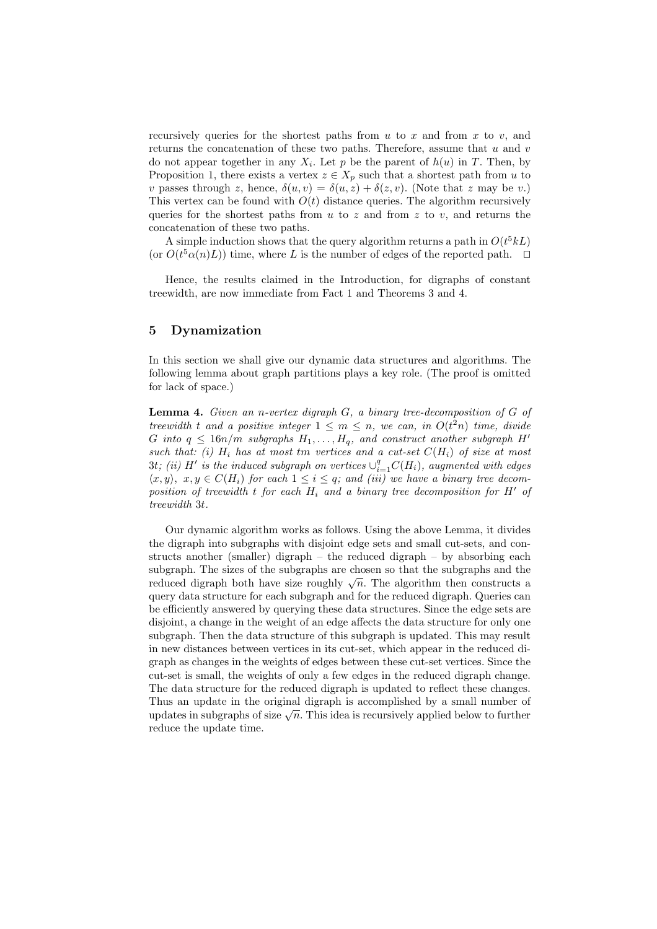recursively queries for the shortest paths from  $u$  to  $x$  and from  $x$  to  $v$ , and returns the concatenation of these two paths. Therefore, assume that  $u$  and  $v$ do not appear together in any  $X_i$ . Let p be the parent of  $h(u)$  in T. Then, by Proposition 1, there exists a vertex  $z \in X_p$  such that a shortest path from u to v passes through z, hence,  $\delta(u, v) = \delta(u, z) + \delta(z, v)$ . (Note that z may be v.) This vertex can be found with  $O(t)$  distance queries. The algorithm recursively queries for the shortest paths from  $u$  to  $z$  and from  $z$  to  $v$ , and returns the concatenation of these two paths.

A simple induction shows that the query algorithm returns a path in  $O(t^5 kL)$ (or  $O(t^5\alpha(n)L)$ ) time, where L is the number of edges of the reported path.  $\square$ 

Hence, the results claimed in the Introduction, for digraphs of constant treewidth, are now immediate from Fact 1 and Theorems 3 and 4.

## 5 Dynamization

In this section we shall give our dynamic data structures and algorithms. The following lemma about graph partitions plays a key role. (The proof is omitted for lack of space.)

**Lemma 4.** Given an n-vertex digraph  $G$ , a binary tree-decomposition of  $G$  of treewidth t and a positive integer  $1 \leq m \leq n$ , we can, in  $O(t^2n)$  time, divide G into  $q \leq 16n/m$  subgraphs  $H_1, \ldots, H_q$ , and construct another subgraph H' such that: (i)  $H_i$  has at most tm vertices and a cut-set  $C(H_i)$  of size at most  $3t$ ; (ii) H<sup>t</sup> is the induced subgraph on vertices  $\cup_{i=1}^q C(H_i)$ , augmented with edges  $\langle x, y \rangle$ ,  $x, y \in C(H_i)$  for each  $1 \leq i \leq q$ ; and (iii) we have a binary tree decomposition of treewidth t for each  $H_i$  and a binary tree decomposition for  $H'$  of treewidth 3t.

Our dynamic algorithm works as follows. Using the above Lemma, it divides the digraph into subgraphs with disjoint edge sets and small cut-sets, and constructs another (smaller) digraph – the reduced digraph – by absorbing each subgraph. The sizes of the subgraphs are chosen so that the subgraphs and the subgraph. The sizes of the subgraphs are chosen so that the subgraphs and the reduced digraph both have size roughly  $\sqrt{n}$ . The algorithm then constructs a query data structure for each subgraph and for the reduced digraph. Queries can be efficiently answered by querying these data structures. Since the edge sets are disjoint, a change in the weight of an edge affects the data structure for only one subgraph. Then the data structure of this subgraph is updated. This may result in new distances between vertices in its cut-set, which appear in the reduced digraph as changes in the weights of edges between these cut-set vertices. Since the cut-set is small, the weights of only a few edges in the reduced digraph change. The data structure for the reduced digraph is updated to reflect these changes. Thus an update in the original digraph is accomplished by a small number of Thus an update in the original digraph is accomplished by a small number of updates in subgraphs of size  $\sqrt{n}$ . This idea is recursively applied below to further reduce the update time.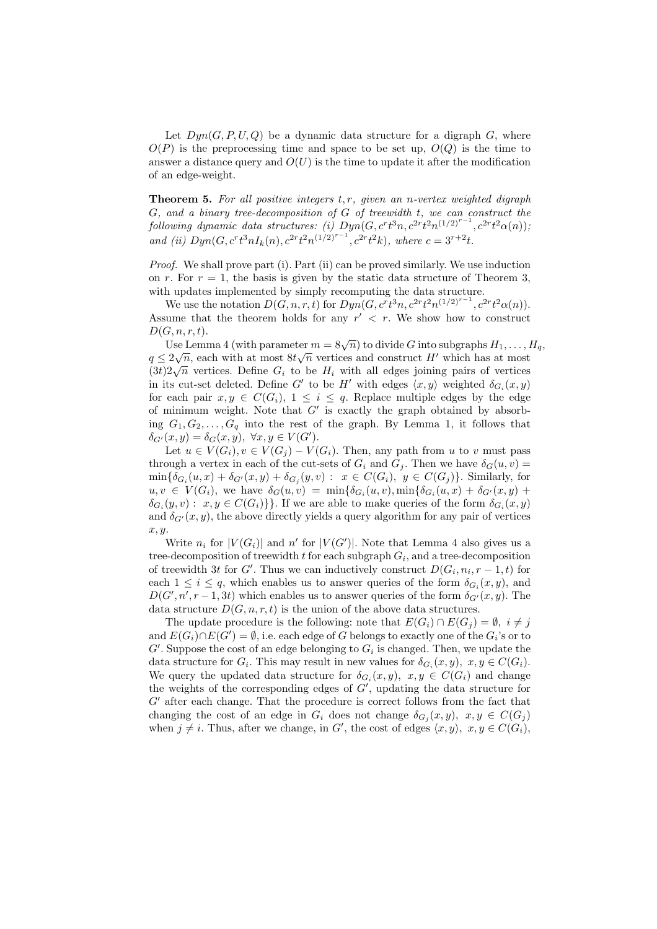Let  $Dyn(G, P, U, Q)$  be a dynamic data structure for a digraph G, where  $O(P)$  is the preprocessing time and space to be set up,  $O(Q)$  is the time to answer a distance query and  $O(U)$  is the time to update it after the modification of an edge-weight.

**Theorem 5.** For all positive integers  $t, r$ , given an n-vertex weighted digraph G, and a binary tree-decomposition of G of treewidth t, we can construct the following dynamic data structures: (i)  $Dyn(G, c^r t^3n, c^{2r} t^2n^{(1/2)^{r-1}}, c^{2r} t^2\alpha(n));$ and (ii)  $Dyn(G, c^rt^3nI_k(n), c^{2rt^2n^{(1/2)^{r-1}}}, c^{2rt^2k}),$  where  $c = 3^{r+2}t$ .

Proof. We shall prove part (i). Part (ii) can be proved similarly. We use induction on r. For  $r = 1$ , the basis is given by the static data structure of Theorem 3, with updates implemented by simply recomputing the data structure.

We use the notation  $D(G, n, r, t)$  for  $Dyn(G, c<sup>r</sup>t<sup>3</sup>n, c<sup>2r</sup>t<sup>2</sup>n<sup>(1/2)<sup>r-1</sup></sup>, c<sup>2r</sup>t<sup>2</sup>α(n)).$ Assume that the theorem holds for any  $r' < r$ . We show how to construct  $D(G, n, r, t).$ 

Use Lemma 4 (with parameter  $m = 8\sqrt{n}$ ) to divide G into subgraphs  $H_1, \ldots, H_q$ ,  $q \leq 2\sqrt{n}$ , each with at most  $8t\sqrt{n}$  vertices and construct H' which has at most  $q \leq 2\sqrt{n}$ , each with at most  $\partial \sqrt{n}$  vertices and construct H with all edges  $(3t)2\sqrt{n}$  vertices. Define  $G_i$  to be  $H_i$  with all edges joining pairs of vertices in its cut-set deleted. Define G' to be H' with edges  $\langle x, y \rangle$  weighted  $\delta_{G_i}(x, y)$ for each pair  $x, y \in C(G_i)$ ,  $1 \leq i \leq q$ . Replace multiple edges by the edge of minimum weight. Note that  $G'$  is exactly the graph obtained by absorbing  $G_1, G_2, \ldots, G_q$  into the rest of the graph. By Lemma 1, it follows that  $\delta_{G'}(x,y) = \delta_G(x,y), \ \forall x, y \in V(G').$ 

Let  $u \in V(G_i)$ ,  $v \in V(G_i) - V(G_i)$ . Then, any path from u to v must pass through a vertex in each of the cut-sets of  $G_i$  and  $G_j$ . Then we have  $\delta_G(u, v)$  =  $\min\{\delta_{G_i}(u,x)+\delta_{G'}(x,y)+\delta_{G_j}(y,v): x \in C(G_i), y \in C(G_j)\}.$  Similarly, for  $u, v \in V(G_i)$ , we have  $\delta_G(u, v) = \min{\{\delta_{G_i}(u, v), \min{\{\delta_{G_i}(u, x) + \delta_{G'}(x, y) + \delta_{G'}(x, y)\}}\}}$  $\delta_{G_i}(y, v) : x, y \in C(G_i) \}$ . If we are able to make queries of the form  $\delta_{G_i}(x, y)$ and  $\delta_{G'}(x, y)$ , the above directly yields a query algorithm for any pair of vertices  $x, y.$ 

Write  $n_i$  for  $|V(G_i)|$  and n' for  $|V(G')|$ . Note that Lemma 4 also gives us a tree-decomposition of treewidth  $t$  for each subgraph  $G_i$ , and a tree-decomposition of treewidth 3t for G'. Thus we can inductively construct  $D(G_i, n_i, r-1, t)$  for each  $1 \leq i \leq q$ , which enables us to answer queries of the form  $\delta_{G_i}(x, y)$ , and  $D(G', n', r-1, 3t)$  which enables us to answer queries of the form  $\delta_{G'}(x, y)$ . The data structure  $D(G, n, r, t)$  is the union of the above data structures.

The update procedure is the following: note that  $E(G_i) \cap E(G_j) = \emptyset$ ,  $i \neq j$ and  $E(G_i) \cap E(G') = \emptyset$ , i.e. each edge of G belongs to exactly one of the  $G_i$ 's or to  $G'$ . Suppose the cost of an edge belonging to  $G_i$  is changed. Then, we update the data structure for  $G_i$ . This may result in new values for  $\delta_{G_i}(x, y)$ ,  $x, y \in C(G_i)$ . We query the updated data structure for  $\delta_{G_i}(x, y)$ ,  $x, y \in C(G_i)$  and change the weights of the corresponding edges of  $G'$ , updating the data structure for  $G'$  after each change. That the procedure is correct follows from the fact that changing the cost of an edge in  $G_i$  does not change  $\delta_{G_j}(x,y)$ ,  $x, y \in C(G_j)$ when  $j \neq i$ . Thus, after we change, in G', the cost of edges  $\langle x, y \rangle$ ,  $x, y \in C(G_i)$ ,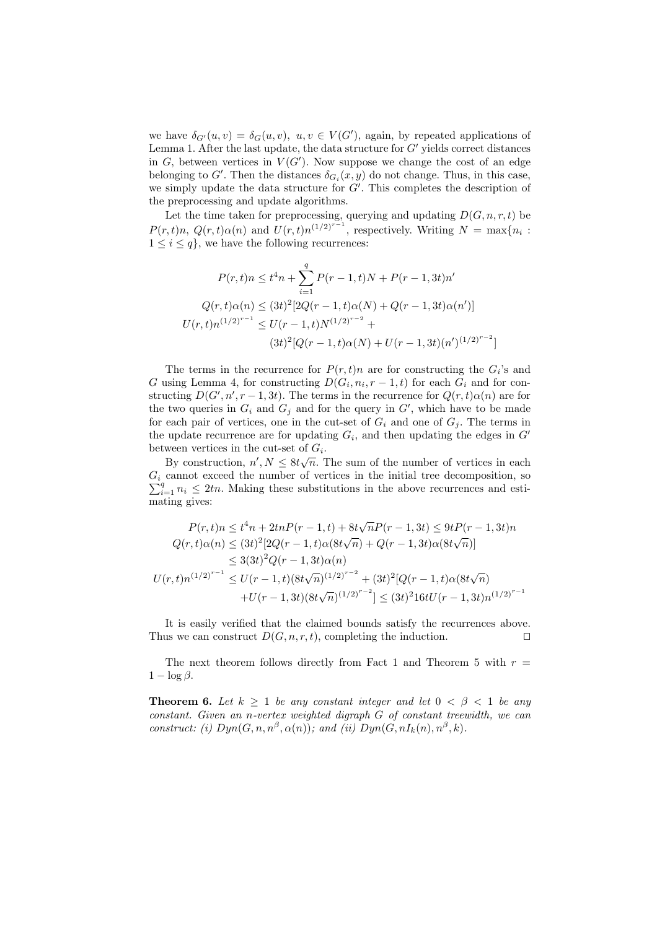we have  $\delta_{G'}(u, v) = \delta_G(u, v)$ ,  $u, v \in V(G')$ , again, by repeated applications of Lemma 1. After the last update, the data structure for  $G'$  yields correct distances in  $G$ , between vertices in  $V(G')$ . Now suppose we change the cost of an edge belonging to G'. Then the distances  $\delta_{G_i}(x, y)$  do not change. Thus, in this case, we simply update the data structure for  $G'$ . This completes the description of the preprocessing and update algorithms.

Let the time taken for preprocessing, querying and updating  $D(G, n, r, t)$  be  $P(r,t)n$ ,  $Q(r,t)\alpha(n)$  and  $U(r,t)n^{(1/2)^{r-1}}$ , respectively. Writing  $N = \max\{n_i$ :  $1 \leq i \leq q$ , we have the following recurrences:

$$
P(r,t)n \le t^4 n + \sum_{i=1}^q P(r-1,t)N + P(r-1,3t)n'
$$
  

$$
Q(r,t)\alpha(n) \le (3t)^2[2Q(r-1,t)\alpha(N) + Q(r-1,3t)\alpha(n')]
$$
  

$$
U(r,t)n^{(1/2)^{r-1}} \le U(r-1,t)N^{(1/2)^{r-2}} +
$$
  

$$
(3t)^2[Q(r-1,t)\alpha(N) + U(r-1,3t)(n')^{(1/2)^{r-2}}]
$$

The terms in the recurrence for  $P(r,t)n$  are for constructing the  $G_i$ 's and G using Lemma 4, for constructing  $D(G_i, n_i, r-1, t)$  for each  $G_i$  and for constructing  $D(G', n', r-1, 3t)$ . The terms in the recurrence for  $Q(r, t)\alpha(n)$  are for the two queries in  $G_i$  and  $G_j$  and for the query in  $G'$ , which have to be made for each pair of vertices, one in the cut-set of  $G_i$  and one of  $G_j$ . The terms in the update recurrence are for updating  $G_i$ , and then updating the edges in  $G'$ between vertices in the cut-set of  $G_i$ .

By construction,  $n', N \leq 8t\sqrt{n}$ . The sum of the number of vertices in each  $G_i$  cannot exceed the number of vertices in the initial tree decomposition, so  $_{i=1}^{q} n_i \leq 2tn$ . Making these substitutions in the above recurrences and estimating gives:

$$
P(r,t)n \le t^4 n + 2tnP(r-1,t) + 8t\sqrt{n}P(r-1,3t) \le 9tP(r-1,3t)n
$$
  
\n
$$
Q(r,t)\alpha(n) \le (3t)^2[2Q(r-1,t)\alpha(8t\sqrt{n}) + Q(r-1,3t)\alpha(8t\sqrt{n})]
$$
  
\n
$$
\le 3(3t)^2Q(r-1,3t)\alpha(n)
$$
  
\n
$$
U(r,t)n^{(1/2)^{r-1}} \le U(r-1,t)(8t\sqrt{n})^{(1/2)^{r-2}} + (3t)^2[Q(r-1,t)\alpha(8t\sqrt{n})
$$
  
\n
$$
+U(r-1,3t)(8t\sqrt{n})^{(1/2)^{r-2}}] \le (3t)^2 16tU(r-1,3t)n^{(1/2)^{r-1}}
$$

It is easily verified that the claimed bounds satisfy the recurrences above. Thus we can construct  $D(G, n, r, t)$ , completing the induction.

The next theorem follows directly from Fact 1 and Theorem 5 with  $r =$  $1 - \log \beta$ .

**Theorem 6.** Let  $k \geq 1$  be any constant integer and let  $0 < \beta < 1$  be any constant. Given an n-vertex weighted digraph G of constant treewidth, we can construct: (i)  $Dyn(G, n, n^{\beta}, \alpha(n))$ ; and (ii)  $Dyn(G, nI_k(n), n^{\beta}, k)$ .